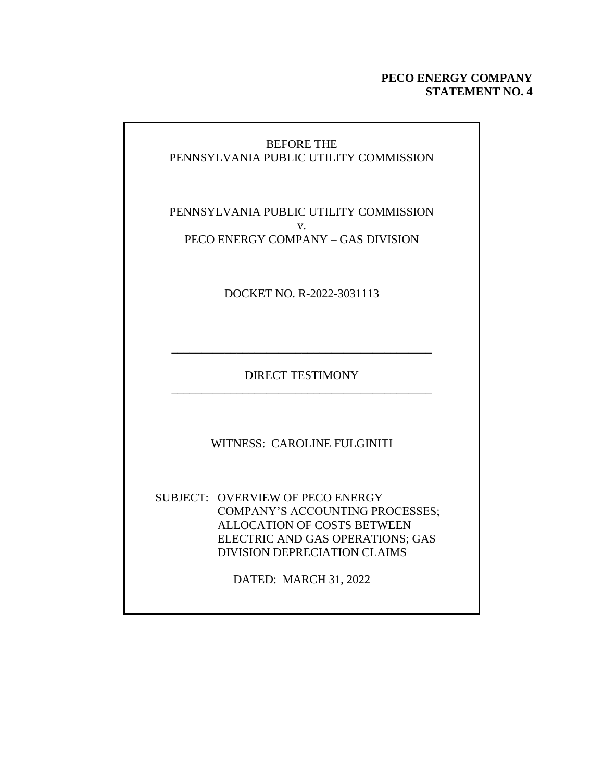### **PECO ENERGY COMPANY STATEMENT NO. 4**

## BEFORE THE PENNSYLVANIA PUBLIC UTILITY COMMISSION

### PENNSYLVANIA PUBLIC UTILITY COMMISSION v. PECO ENERGY COMPANY – GAS DIVISION

DOCKET NO. R-2022-3031113

DIRECT TESTIMONY \_\_\_\_\_\_\_\_\_\_\_\_\_\_\_\_\_\_\_\_\_\_\_\_\_\_\_\_\_\_\_\_\_\_\_\_\_\_\_\_\_\_\_\_

\_\_\_\_\_\_\_\_\_\_\_\_\_\_\_\_\_\_\_\_\_\_\_\_\_\_\_\_\_\_\_\_\_\_\_\_\_\_\_\_\_\_\_\_

WITNESS: CAROLINE FULGINITI

SUBJECT: OVERVIEW OF PECO ENERGY COMPANY'S ACCOUNTING PROCESSES; ALLOCATION OF COSTS BETWEEN ELECTRIC AND GAS OPERATIONS; GAS DIVISION DEPRECIATION CLAIMS

DATED: MARCH 31, 2022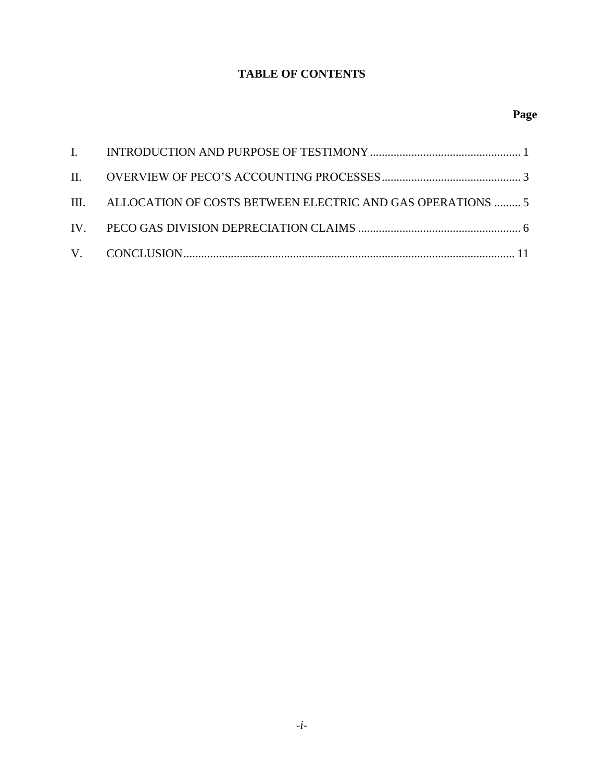## **TABLE OF CONTENTS**

| III. ALLOCATION OF COSTS BETWEEN ELECTRIC AND GAS OPERATIONS  5 |  |
|-----------------------------------------------------------------|--|
|                                                                 |  |
|                                                                 |  |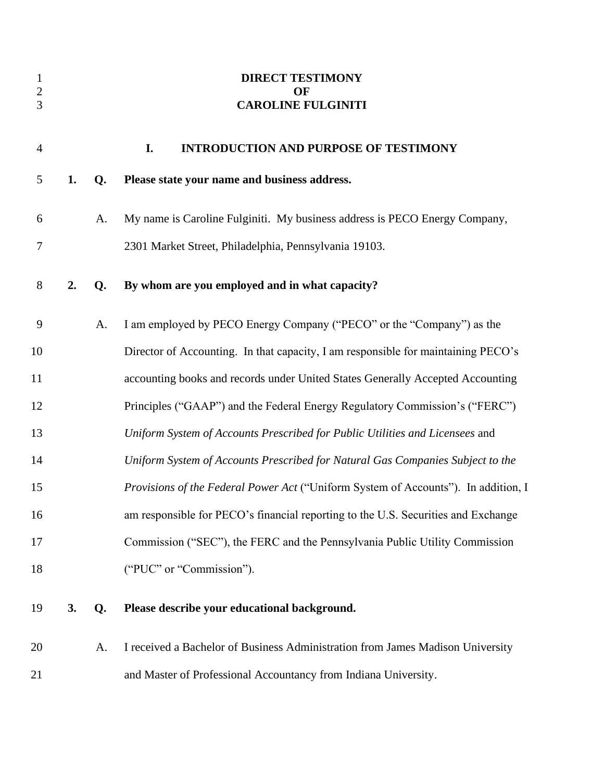<span id="page-2-0"></span>

| $\mathbf{1}$<br>$\boldsymbol{2}$<br>3 |    |    | <b>DIRECT TESTIMONY</b><br>OF<br><b>CAROLINE FULGINITI</b>                         |
|---------------------------------------|----|----|------------------------------------------------------------------------------------|
| $\overline{4}$                        |    |    | I.<br><b>INTRODUCTION AND PURPOSE OF TESTIMONY</b>                                 |
| 5                                     | 1. | Q. | Please state your name and business address.                                       |
| 6                                     |    | A. | My name is Caroline Fulginiti. My business address is PECO Energy Company,         |
| $\overline{7}$                        |    |    | 2301 Market Street, Philadelphia, Pennsylvania 19103.                              |
| $8\,$                                 | 2. | Q. | By whom are you employed and in what capacity?                                     |
| 9                                     |    | A. | I am employed by PECO Energy Company ("PECO" or the "Company") as the              |
| 10                                    |    |    | Director of Accounting. In that capacity, I am responsible for maintaining PECO's  |
| 11                                    |    |    | accounting books and records under United States Generally Accepted Accounting     |
| 12                                    |    |    | Principles ("GAAP") and the Federal Energy Regulatory Commission's ("FERC")        |
| 13                                    |    |    | Uniform System of Accounts Prescribed for Public Utilities and Licensees and       |
| 14                                    |    |    | Uniform System of Accounts Prescribed for Natural Gas Companies Subject to the     |
| 15                                    |    |    | Provisions of the Federal Power Act ("Uniform System of Accounts"). In addition, I |
| 16                                    |    |    | am responsible for PECO's financial reporting to the U.S. Securities and Exchange  |
| 17                                    |    |    | Commission ("SEC"), the FERC and the Pennsylvania Public Utility Commission        |
| 18                                    |    |    | ("PUC" or "Commission").                                                           |
| 19                                    | 3. | Q. | Please describe your educational background.                                       |
| 20                                    |    | A. | I received a Bachelor of Business Administration from James Madison University     |
| 21                                    |    |    | and Master of Professional Accountancy from Indiana University.                    |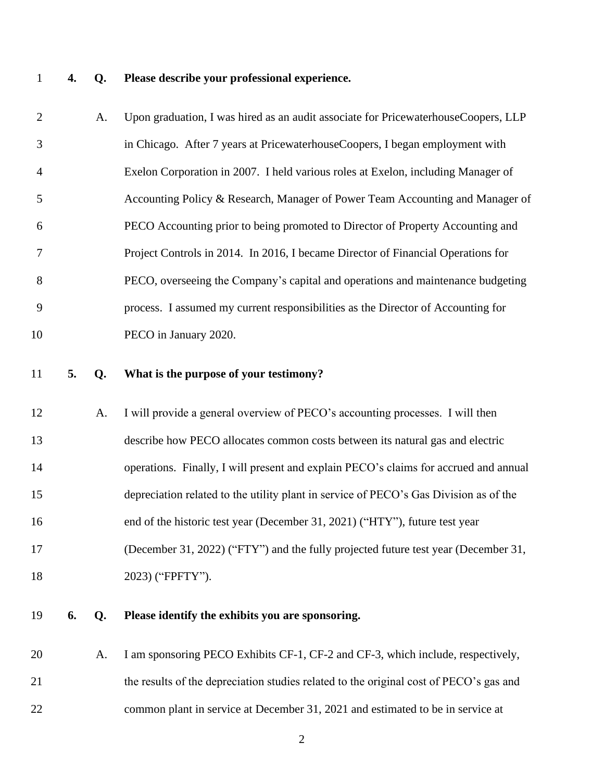## **4. Q. Please describe your professional experience.**

| $\overline{2}$ |    | A. | Upon graduation, I was hired as an audit associate for PricewaterhouseCoopers, LLP     |
|----------------|----|----|----------------------------------------------------------------------------------------|
| 3              |    |    | in Chicago. After 7 years at PricewaterhouseCoopers, I began employment with           |
| $\overline{4}$ |    |    | Exelon Corporation in 2007. I held various roles at Exelon, including Manager of       |
| 5              |    |    | Accounting Policy & Research, Manager of Power Team Accounting and Manager of          |
| 6              |    |    | PECO Accounting prior to being promoted to Director of Property Accounting and         |
| $\tau$         |    |    | Project Controls in 2014. In 2016, I became Director of Financial Operations for       |
| $8\,$          |    |    | PECO, overseeing the Company's capital and operations and maintenance budgeting        |
| 9              |    |    | process. I assumed my current responsibilities as the Director of Accounting for       |
| 10             |    |    | PECO in January 2020.                                                                  |
| 11             | 5. | Q. | What is the purpose of your testimony?                                                 |
| 12             |    | A. | I will provide a general overview of PECO's accounting processes. I will then          |
| 13             |    |    | describe how PECO allocates common costs between its natural gas and electric          |
| 14             |    |    | operations. Finally, I will present and explain PECO's claims for accrued and annual   |
| 15             |    |    | depreciation related to the utility plant in service of PECO's Gas Division as of the  |
| 16             |    |    | end of the historic test year (December 31, 2021) ("HTY"), future test year            |
| 17             |    |    | (December 31, 2022) ("FTY") and the fully projected future test year (December 31,     |
| 18             |    |    | 2023) ("FPFTY").                                                                       |
| 19             | 6. | Q. | Please identify the exhibits you are sponsoring.                                       |
| 20             |    | A. | I am sponsoring PECO Exhibits CF-1, CF-2 and CF-3, which include, respectively,        |
| 21             |    |    | the results of the depreciation studies related to the original cost of PECO's gas and |
| 22             |    |    | common plant in service at December 31, 2021 and estimated to be in service at         |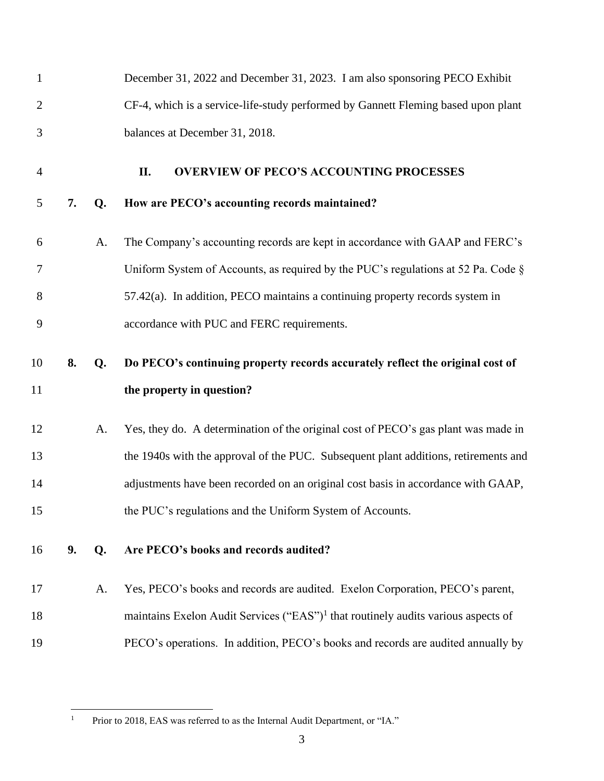<span id="page-4-0"></span>

| $\mathbf{1}$   |    |    | December 31, 2022 and December 31, 2023. I am also sponsoring PECO Exhibit                    |
|----------------|----|----|-----------------------------------------------------------------------------------------------|
| $\overline{2}$ |    |    | CF-4, which is a service-life-study performed by Gannett Fleming based upon plant             |
| 3              |    |    | balances at December 31, 2018.                                                                |
| $\overline{4}$ |    |    | <b>OVERVIEW OF PECO'S ACCOUNTING PROCESSES</b><br>П.                                          |
| 5              | 7. | Q. | How are PECO's accounting records maintained?                                                 |
| 6              |    | A. | The Company's accounting records are kept in accordance with GAAP and FERC's                  |
| 7              |    |    | Uniform System of Accounts, as required by the PUC's regulations at 52 Pa. Code §             |
| 8              |    |    | $57.42(a)$ . In addition, PECO maintains a continuing property records system in              |
| 9              |    |    | accordance with PUC and FERC requirements.                                                    |
| 10             | 8. | Q. | Do PECO's continuing property records accurately reflect the original cost of                 |
|                |    |    |                                                                                               |
| 11             |    |    | the property in question?                                                                     |
| 12             |    | A. | Yes, they do. A determination of the original cost of PECO's gas plant was made in            |
| 13             |    |    | the 1940s with the approval of the PUC. Subsequent plant additions, retirements and           |
| 14             |    |    | adjustments have been recorded on an original cost basis in accordance with GAAP,             |
| 15             |    |    | the PUC's regulations and the Uniform System of Accounts.                                     |
| 16             | 9. | Q. | Are PECO's books and records audited?                                                         |
| 17             |    | A. | Yes, PECO's books and records are audited. Exelon Corporation, PECO's parent,                 |
| 18             |    |    | maintains Exelon Audit Services ("EAS") <sup>1</sup> that routinely audits various aspects of |

<sup>&</sup>lt;sup>1</sup> Prior to 2018, EAS was referred to as the Internal Audit Department, or "IA."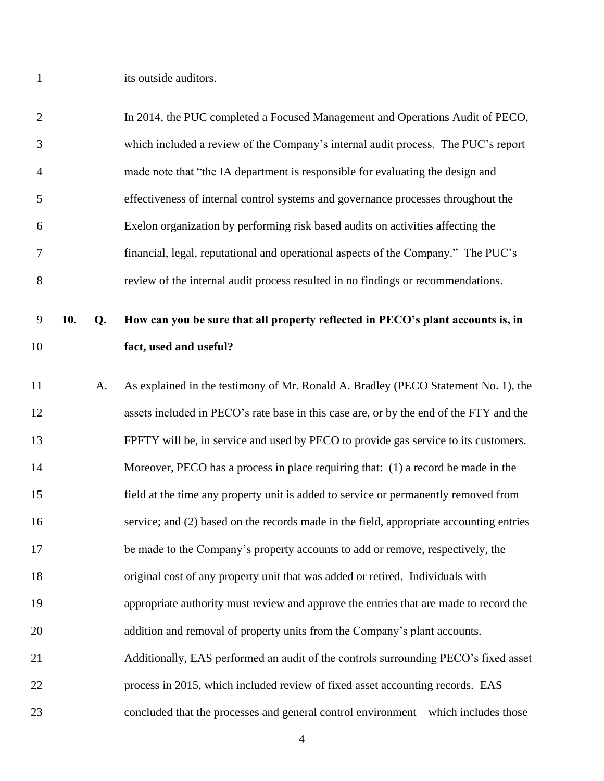1 its outside auditors.

| $\overline{2}$ |     |    | In 2014, the PUC completed a Focused Management and Operations Audit of PECO,           |
|----------------|-----|----|-----------------------------------------------------------------------------------------|
| 3              |     |    | which included a review of the Company's internal audit process. The PUC's report       |
| $\overline{4}$ |     |    | made note that "the IA department is responsible for evaluating the design and          |
| 5              |     |    | effectiveness of internal control systems and governance processes throughout the       |
| 6              |     |    | Exelon organization by performing risk based audits on activities affecting the         |
| 7              |     |    | financial, legal, reputational and operational aspects of the Company." The PUC's       |
| $8\,$          |     |    | review of the internal audit process resulted in no findings or recommendations.        |
| 9              | 10. | Q. | How can you be sure that all property reflected in PECO's plant accounts is, in         |
| 10             |     |    | fact, used and useful?                                                                  |
| 11             |     | A. | As explained in the testimony of Mr. Ronald A. Bradley (PECO Statement No. 1), the      |
| 12             |     |    | assets included in PECO's rate base in this case are, or by the end of the FTY and the  |
| 13             |     |    | FPFTY will be, in service and used by PECO to provide gas service to its customers.     |
| 14             |     |    | Moreover, PECO has a process in place requiring that: (1) a record be made in the       |
| 15             |     |    | field at the time any property unit is added to service or permanently removed from     |
| 16             |     |    | service; and (2) based on the records made in the field, appropriate accounting entries |
| 17             |     |    | be made to the Company's property accounts to add or remove, respectively, the          |
| 18             |     |    | original cost of any property unit that was added or retired. Individuals with          |
| 19             |     |    | appropriate authority must review and approve the entries that are made to record the   |
| 20             |     |    | addition and removal of property units from the Company's plant accounts.               |
| 21             |     |    | Additionally, EAS performed an audit of the controls surrounding PECO's fixed asset     |
| 22             |     |    | process in 2015, which included review of fixed asset accounting records. EAS           |
| 23             |     |    | concluded that the processes and general control environment - which includes those     |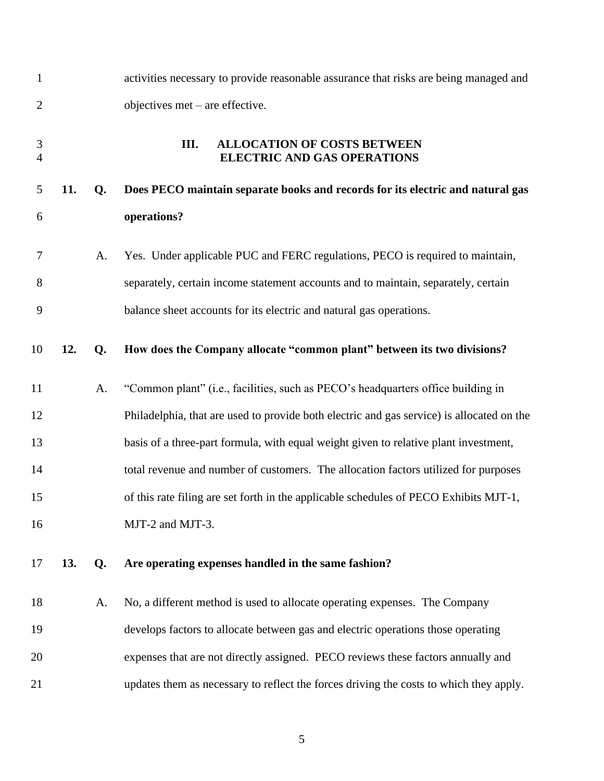<span id="page-6-0"></span>

| $\mathbf{1}$        |     |    | activities necessary to provide reasonable assurance that risks are being managed and     |
|---------------------|-----|----|-------------------------------------------------------------------------------------------|
| $\overline{2}$      |     |    | objectives $met - are effective$ .                                                        |
| 3<br>$\overline{4}$ |     |    | Ш.<br><b>ALLOCATION OF COSTS BETWEEN</b><br><b>ELECTRIC AND GAS OPERATIONS</b>            |
| 5                   | 11. | Q. | Does PECO maintain separate books and records for its electric and natural gas            |
| 6                   |     |    | operations?                                                                               |
| 7                   |     | A. | Yes. Under applicable PUC and FERC regulations, PECO is required to maintain,             |
| 8                   |     |    | separately, certain income statement accounts and to maintain, separately, certain        |
| 9                   |     |    | balance sheet accounts for its electric and natural gas operations.                       |
| 10                  | 12. | Q. | How does the Company allocate "common plant" between its two divisions?                   |
| 11                  |     | A. | "Common plant" (i.e., facilities, such as PECO's headquarters office building in          |
| 12                  |     |    | Philadelphia, that are used to provide both electric and gas service) is allocated on the |
| 13                  |     |    | basis of a three-part formula, with equal weight given to relative plant investment,      |
| 14                  |     |    | total revenue and number of customers. The allocation factors utilized for purposes       |
| 15                  |     |    | of this rate filing are set forth in the applicable schedules of PECO Exhibits MJT-1,     |
| 16                  |     |    | MJT-2 and MJT-3.                                                                          |
| 17                  | 13. | Q. | Are operating expenses handled in the same fashion?                                       |
| 18                  |     | A. | No, a different method is used to allocate operating expenses. The Company                |
| 19                  |     |    | develops factors to allocate between gas and electric operations those operating          |
| 20                  |     |    | expenses that are not directly assigned. PECO reviews these factors annually and          |
| 21                  |     |    | updates them as necessary to reflect the forces driving the costs to which they apply.    |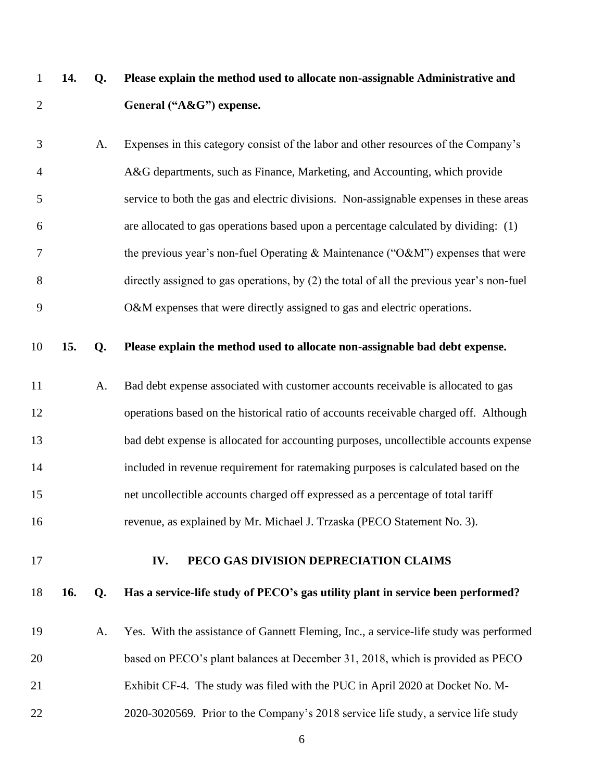- **14. Q. Please explain the method used to allocate non-assignable Administrative and General ("A&G") expense.**
- A. Expenses in this category consist of the labor and other resources of the Company's A&G departments, such as Finance, Marketing, and Accounting, which provide service to both the gas and electric divisions. Non-assignable expenses in these areas are allocated to gas operations based upon a percentage calculated by dividing: (1) 7 the previous year's non-fuel Operating  $\&$  Maintenance ("O $\&$ M") expenses that were directly assigned to gas operations, by (2) the total of all the previous year's non-fuel 9 O&M expenses that were directly assigned to gas and electric operations.

#### **15. Q. Please explain the method used to allocate non-assignable bad debt expense.**

 A. Bad debt expense associated with customer accounts receivable is allocated to gas operations based on the historical ratio of accounts receivable charged off. Although bad debt expense is allocated for accounting purposes, uncollectible accounts expense included in revenue requirement for ratemaking purposes is calculated based on the net uncollectible accounts charged off expressed as a percentage of total tariff revenue, as explained by Mr. Michael J. Trzaska (PECO Statement No. 3).

### <span id="page-7-0"></span>**IV. PECO GAS DIVISION DEPRECIATION CLAIMS**

#### **16. Q. Has a service-life study of PECO's gas utility plant in service been performed?**

 A. Yes. With the assistance of Gannett Fleming, Inc., a service-life study was performed based on PECO's plant balances at December 31, 2018, which is provided as PECO Exhibit CF-4. The study was filed with the PUC in April 2020 at Docket No. M-2020-3020569. Prior to the Company's 2018 service life study, a service life study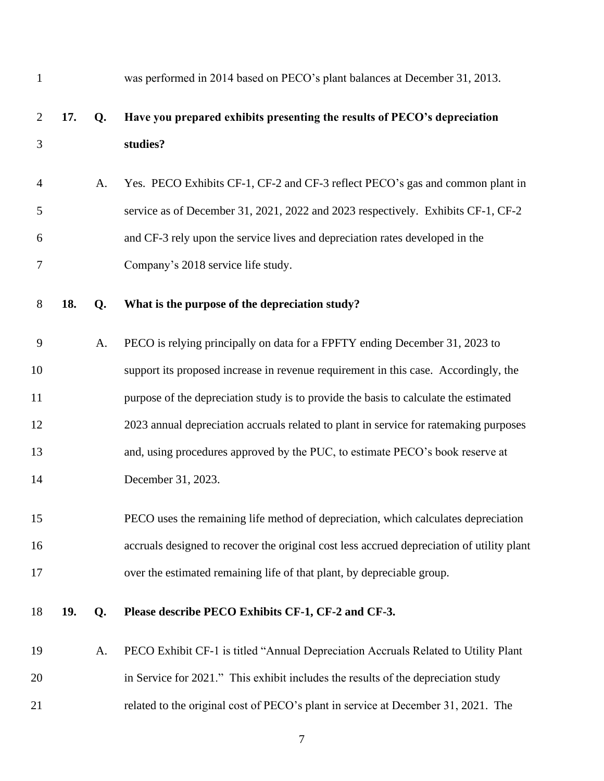| $\mathbf{1}$   |     |    | was performed in 2014 based on PECO's plant balances at December 31, 2013.                |
|----------------|-----|----|-------------------------------------------------------------------------------------------|
| $\overline{2}$ | 17. | Q. | Have you prepared exhibits presenting the results of PECO's depreciation                  |
| 3              |     |    | studies?                                                                                  |
| $\overline{4}$ |     | A. | Yes. PECO Exhibits CF-1, CF-2 and CF-3 reflect PECO's gas and common plant in             |
| 5              |     |    | service as of December 31, 2021, 2022 and 2023 respectively. Exhibits CF-1, CF-2          |
| 6              |     |    | and CF-3 rely upon the service lives and depreciation rates developed in the              |
| 7              |     |    | Company's 2018 service life study.                                                        |
| $8\,$          | 18. | Q. | What is the purpose of the depreciation study?                                            |
| 9              |     | A. | PECO is relying principally on data for a FPFTY ending December 31, 2023 to               |
| 10             |     |    | support its proposed increase in revenue requirement in this case. Accordingly, the       |
| 11             |     |    | purpose of the depreciation study is to provide the basis to calculate the estimated      |
| 12             |     |    | 2023 annual depreciation accruals related to plant in service for ratemaking purposes     |
| 13             |     |    | and, using procedures approved by the PUC, to estimate PECO's book reserve at             |
| 14             |     |    | December 31, 2023.                                                                        |
| 15             |     |    | PECO uses the remaining life method of depreciation, which calculates depreciation        |
| 16             |     |    | accruals designed to recover the original cost less accrued depreciation of utility plant |
| 17             |     |    | over the estimated remaining life of that plant, by depreciable group.                    |
| 18             | 19. | Q. | Please describe PECO Exhibits CF-1, CF-2 and CF-3.                                        |
| 19             |     | A. | PECO Exhibit CF-1 is titled "Annual Depreciation Accruals Related to Utility Plant        |
| 20             |     |    | in Service for 2021." This exhibit includes the results of the depreciation study         |
| 21             |     |    | related to the original cost of PECO's plant in service at December 31, 2021. The         |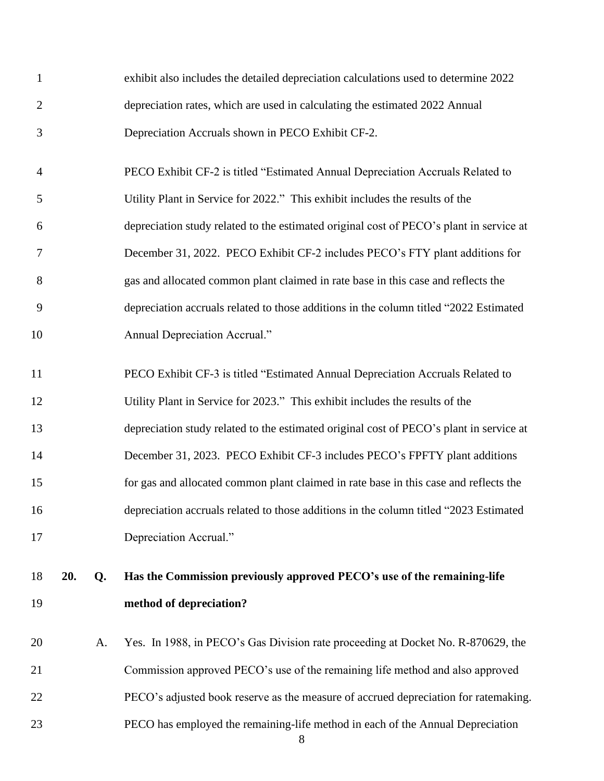| $\mathbf{1}$   |     |    | exhibit also includes the detailed depreciation calculations used to determine 2022     |
|----------------|-----|----|-----------------------------------------------------------------------------------------|
| $\overline{2}$ |     |    | depreciation rates, which are used in calculating the estimated 2022 Annual             |
| 3              |     |    | Depreciation Accruals shown in PECO Exhibit CF-2.                                       |
| $\overline{4}$ |     |    | PECO Exhibit CF-2 is titled "Estimated Annual Depreciation Accruals Related to          |
| 5              |     |    | Utility Plant in Service for 2022." This exhibit includes the results of the            |
| 6              |     |    | depreciation study related to the estimated original cost of PECO's plant in service at |
| 7              |     |    | December 31, 2022. PECO Exhibit CF-2 includes PECO's FTY plant additions for            |
| 8              |     |    | gas and allocated common plant claimed in rate base in this case and reflects the       |
| 9              |     |    | depreciation accruals related to those additions in the column titled "2022 Estimated   |
| 10             |     |    | Annual Depreciation Accrual."                                                           |
| 11             |     |    | PECO Exhibit CF-3 is titled "Estimated Annual Depreciation Accruals Related to          |
| 12             |     |    | Utility Plant in Service for 2023." This exhibit includes the results of the            |
| 13             |     |    | depreciation study related to the estimated original cost of PECO's plant in service at |
| 14             |     |    | December 31, 2023. PECO Exhibit CF-3 includes PECO's FPFTY plant additions              |
| 15             |     |    | for gas and allocated common plant claimed in rate base in this case and reflects the   |
| 16             |     |    | depreciation accruals related to those additions in the column titled "2023 Estimated   |
| 17             |     |    | Depreciation Accrual."                                                                  |
| 18             | 20. | Q. | Has the Commission previously approved PECO's use of the remaining-life                 |
| 19             |     |    | method of depreciation?                                                                 |
| 20             |     | A. | Yes. In 1988, in PECO's Gas Division rate proceeding at Docket No. R-870629, the        |
| 21             |     |    | Commission approved PECO's use of the remaining life method and also approved           |
| 22             |     |    | PECO's adjusted book reserve as the measure of accrued depreciation for ratemaking.     |
| 23             |     |    | PECO has employed the remaining-life method in each of the Annual Depreciation<br>8     |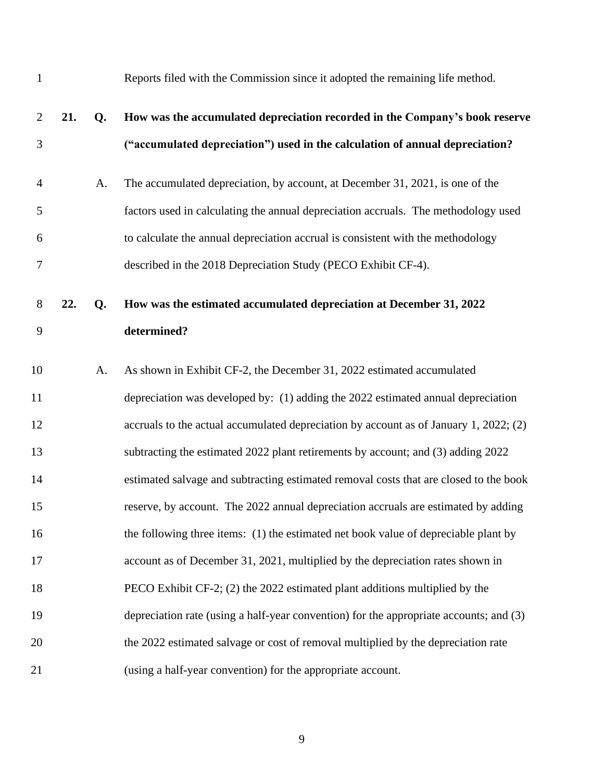| $\mathbf{1}$   |     |    | Reports filed with the Commission since it adopted the remaining life method.          |
|----------------|-----|----|----------------------------------------------------------------------------------------|
| $\overline{2}$ | 21. | Q. | How was the accumulated depreciation recorded in the Company's book reserve            |
| 3              |     |    | ("accumulated depreciation") used in the calculation of annual depreciation?           |
| $\overline{4}$ |     | A. | The accumulated depreciation, by account, at December 31, 2021, is one of the          |
| 5              |     |    | factors used in calculating the annual depreciation accruals. The methodology used     |
| 6              |     |    | to calculate the annual depreciation accrual is consistent with the methodology        |
| $\tau$         |     |    | described in the 2018 Depreciation Study (PECO Exhibit CF-4).                          |
| 8              | 22. | Q. | How was the estimated accumulated depreciation at December 31, 2022                    |
| 9              |     |    | determined?                                                                            |
| 10             |     | A. | As shown in Exhibit CF-2, the December 31, 2022 estimated accumulated                  |
| 11             |     |    | depreciation was developed by: (1) adding the 2022 estimated annual depreciation       |
| 12             |     |    | accruals to the actual accumulated depreciation by account as of January 1, 2022; (2)  |
| 13             |     |    | subtracting the estimated 2022 plant retirements by account; and (3) adding 2022       |
| 14             |     |    | estimated salvage and subtracting estimated removal costs that are closed to the book  |
| 15             |     |    | reserve, by account. The 2022 annual depreciation accruals are estimated by adding     |
| 16             |     |    | the following three items: (1) the estimated net book value of depreciable plant by    |
| 17             |     |    | account as of December 31, 2021, multiplied by the depreciation rates shown in         |
| 18             |     |    | PECO Exhibit CF-2; (2) the 2022 estimated plant additions multiplied by the            |
| 19             |     |    | depreciation rate (using a half-year convention) for the appropriate accounts; and (3) |
| 20             |     |    | the 2022 estimated salvage or cost of removal multiplied by the depreciation rate      |
| 21             |     |    | (using a half-year convention) for the appropriate account.                            |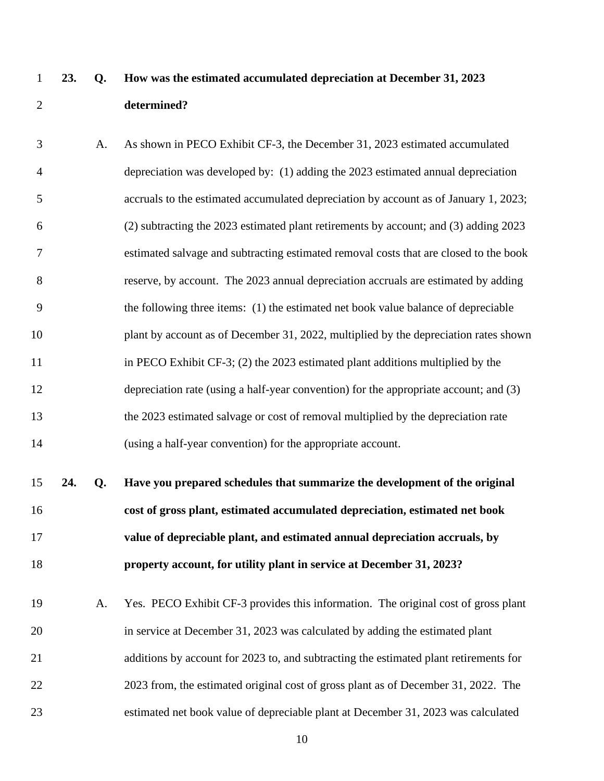# **23. Q. How was the estimated accumulated depreciation at December 31, 2023 determined?**

- A. As shown in PECO Exhibit CF-3, the December 31, 2023 estimated accumulated depreciation was developed by: (1) adding the 2023 estimated annual depreciation accruals to the estimated accumulated depreciation by account as of January 1, 2023; (2) subtracting the 2023 estimated plant retirements by account; and (3) adding 2023 estimated salvage and subtracting estimated removal costs that are closed to the book reserve, by account. The 2023 annual depreciation accruals are estimated by adding the following three items: (1) the estimated net book value balance of depreciable 10 plant by account as of December 31, 2022, multiplied by the depreciation rates shown in PECO Exhibit CF-3; (2) the 2023 estimated plant additions multiplied by the depreciation rate (using a half-year convention) for the appropriate account; and (3) the 2023 estimated salvage or cost of removal multiplied by the depreciation rate (using a half-year convention) for the appropriate account.
- **24. Q. Have you prepared schedules that summarize the development of the original cost of gross plant, estimated accumulated depreciation, estimated net book value of depreciable plant, and estimated annual depreciation accruals, by property account, for utility plant in service at December 31, 2023?**
- A. Yes. PECO Exhibit CF-3 provides this information. The original cost of gross plant in service at December 31, 2023 was calculated by adding the estimated plant 21 additions by account for 2023 to, and subtracting the estimated plant retirements for 2023 from, the estimated original cost of gross plant as of December 31, 2022. The estimated net book value of depreciable plant at December 31, 2023 was calculated